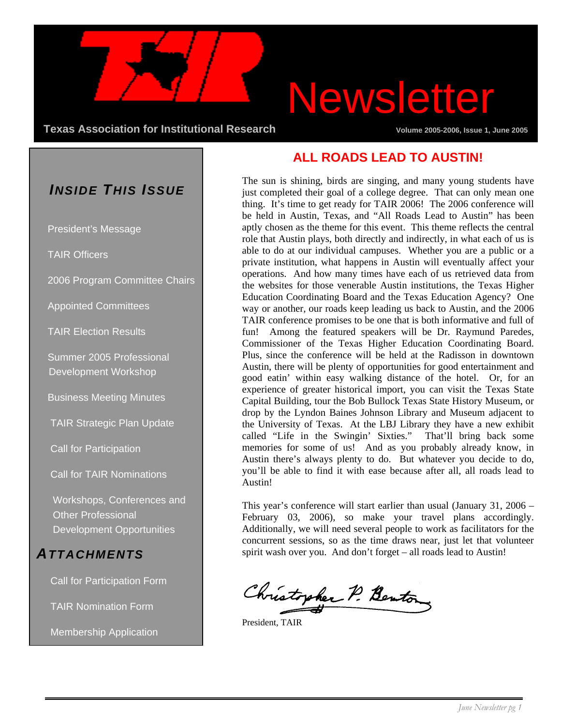**Texas Association for Institutional Research Community Community Volume 2005-2006, Issue 1, June 2005** 

# Newsletter

### *INSIDE THIS ISSUE*

President's Message

TAIR Officers

2006 Program Committee Chairs

Appointed Committees

TAIR Election Results

 Summer 2005 Professional Development Workshop

Business Meeting Minutes

TAIR Strategic Plan Update

Call for Participation

Call for TAIR Nominations

Workshops, Conferences and Other Professional Development Opportunities

### *ATTACHMENTS*

Call for Participation Form

TAIR Nomination Form

Membership Application

### **ALL ROADS LEAD TO AUSTIN!**

The sun is shining, birds are singing, and many young students have just completed their goal of a college degree. That can only mean one thing. It's time to get ready for TAIR 2006! The 2006 conference will be held in Austin, Texas, and "All Roads Lead to Austin" has been aptly chosen as the theme for this event. This theme reflects the central role that Austin plays, both directly and indirectly, in what each of us is able to do at our individual campuses. Whether you are a public or a private institution, what happens in Austin will eventually affect your operations. And how many times have each of us retrieved data from the websites for those venerable Austin institutions, the Texas Higher Education Coordinating Board and the Texas Education Agency? One way or another, our roads keep leading us back to Austin, and the 2006 TAIR conference promises to be one that is both informative and full of fun! Among the featured speakers will be Dr. Raymund Paredes, Commissioner of the Texas Higher Education Coordinating Board. Plus, since the conference will be held at the Radisson in downtown Austin, there will be plenty of opportunities for good entertainment and good eatin' within easy walking distance of the hotel. Or, for an experience of greater historical import, you can visit the Texas State Capital Building, tour the Bob Bullock Texas State History Museum, or drop by the Lyndon Baines Johnson Library and Museum adjacent to the University of Texas. At the LBJ Library they have a new exhibit called "Life in the Swingin' Sixties." That'll bring back some memories for some of us! And as you probably already know, in Austin there's always plenty to do. But whatever you decide to do, you'll be able to find it with ease because after all, all roads lead to Austin!

This year's conference will start earlier than usual (January 31, 2006 – February 03, 2006), so make your travel plans accordingly. Additionally, we will need several people to work as facilitators for the concurrent sessions, so as the time draws near, just let that volunteer spirit wash over you. And don't forget – all roads lead to Austin!

Christopher P. Benton

President, TAIR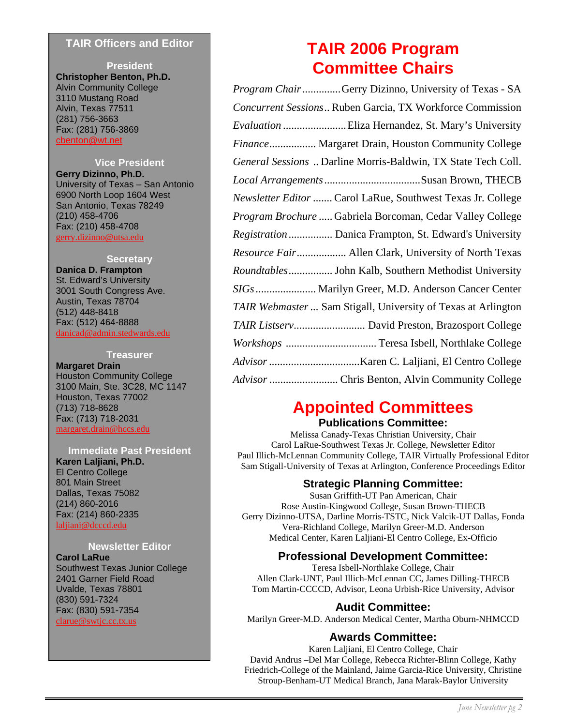#### **TAIR Officers and Editor**

**President Christopher Benton, Ph.D.** Alvin Community College 3110 Mustang Road Alvin, Texas 77511 (281) 756-3663 Fax: (281) 756-3869 cbenton@wt.net

#### **Vice President**

**Gerry Dizinno, Ph.D.** University of Texas – San Antonio 6900 North Loop 1604 West San Antonio, Texas 78249 (210) 458-4706 Fax: (210) 458-4708 gerry.dizinno@utsa.edu

#### **Secretary**

**Danica D. Frampton** St. Edward's University 3001 South Congress Ave. Austin, Texas 78704 (512) 448-8418 Fax: (512) 464-8888 danicad@admin.stedwards.edu

#### **Treasurer**

**Margaret Drain**  Houston Community College 3100 Main, Ste. 3C28, MC 1147 Houston, Texas 77002 (713) 718-8628 Fax: (713) 718-2031 margaret.drain@hccs.edu

**Immediate Past President Karen Laljiani, Ph.D.**  El Centro College 801 Main Street Dallas, Texas 75082 (214) 860-2016 Fax: (214) 860-2335 laljiani@dcccd.edu

#### **Newsletter Editor**

**Carol LaRue**  Southwest Texas Junior College 2401 Garner Field Road Uvalde, Texas 78801 (830) 591-7324 Fax: (830) 591-7354 clarue@swtjc.cc.tx.us

### **TAIR 2006 Program Committee Chairs**

*Program Chair*..............Gerry Dizinno, University of Texas - SA *Concurrent Sessions*.. Ruben Garcia, TX Workforce Commission *Evaluation* .......................Eliza Hernandez, St. Mary's University *Finance*................. Margaret Drain, Houston Community College *General Sessions* .. Darline Morris-Baldwin, TX State Tech Coll. *Local Arrangements*...................................Susan Brown, THECB *Newsletter Editor .......*Carol LaRue, Southwest Texas Jr. College *Program Brochure* ..... Gabriela Borcoman, Cedar Valley College *Registration*................ Danica Frampton, St. Edward's University *Resource Fair*.................. Allen Clark, University of North Texas *Roundtables*................ John Kalb, Southern Methodist University *SIGs*...................... Marilyn Greer, M.D. Anderson Cancer Center *TAIR Webmaster ...* Sam Stigall, University of Texas at Arlington *TAIR Listserv..........................* David Preston, Brazosport College *Workshops* ................................. Teresa Isbell, Northlake College *Advisor .................................*Karen C. Laljiani, El Centro College *Advisor* ......................... Chris Benton, Alvin Community College

### **Appointed Committees**

#### **Publications Committee:**

Melissa Canady-Texas Christian University, Chair Carol LaRue-Southwest Texas Jr. College, Newsletter Editor Paul Illich-McLennan Community College, TAIR Virtually Professional Editor Sam Stigall-University of Texas at Arlington, Conference Proceedings Editor

#### **Strategic Planning Committee:**

Susan Griffith-UT Pan American, Chair Rose Austin-Kingwood College, Susan Brown-THECB Gerry Dizinno-UTSA, Darline Morris-TSTC, Nick Valcik-UT Dallas, Fonda Vera-Richland College, Marilyn Greer-M.D. Anderson Medical Center, Karen Laljiani-El Centro College, Ex-Officio

#### **Professional Development Committee:**

Teresa Isbell-Northlake College, Chair Allen Clark-UNT, Paul Illich-McLennan CC, James Dilling-THECB Tom Martin-CCCCD, Advisor, Leona Urbish-Rice University, Advisor

#### **Audit Committee:**

Marilyn Greer-M.D. Anderson Medical Center, Martha Oburn-NHMCCD

### **Awards Committee:**

Karen Laljiani, El Centro College, Chair David Andrus –Del Mar College, Rebecca Richter-Blinn College, Kathy Friedrich-College of the Mainland, Jaime Garcia-Rice University, Christine Stroup-Benham-UT Medical Branch, Jana Marak-Baylor University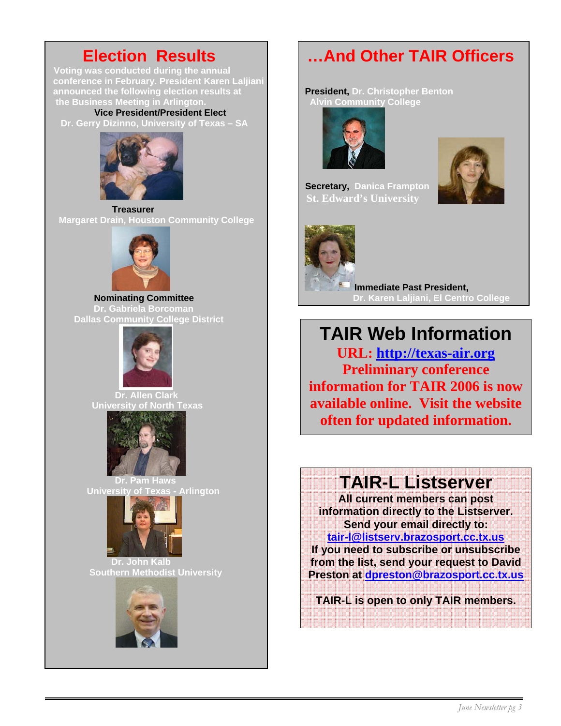**Voting was conducted during the annual conference in February. President Karen Laljiani announced the following election results at President, Dr. Christopher Benton the Business Meeting in Arlington. Ally in Alvin Community College** 

 **Vice President/President Elect Dr. Gerry Dizinno, University of Texas – SA** 



**Treasurer Margaret Drain, Houston Community College** 



*Dr. Gabriela Borcoman* **EXECUTE: Dallas Community College District** 



 **Dr. Allen Clark University of North Texas** 



 **Dr. Pam Haws University of Texas - Arlington**



 **Dr. John Kalb Southern Methodist University** 



### **Election Results …And Other TAIR Officers**





 **Secretary, Danica Frampton St. Edward's University** 



 **Immediate Past President, Nominating Committee Critical Committee Dr. Karen Laljiani, El Centro College** 

**TAIR Web Information URL: http://texas-air.org Preliminary conference information for TAIR 2006 is now available online. Visit the website often for updated information.** 

### **TAIR-L Listserver**

**All current members can post information directly to the Listserver. Send your email directly to: tair-l@listserv.brazosport.cc.tx.us If you need to subscribe or unsubscribe from the list, send your request to David Preston at dpreston@brazosport.cc.tx.us**

**TAIR-L is open to only TAIR members.**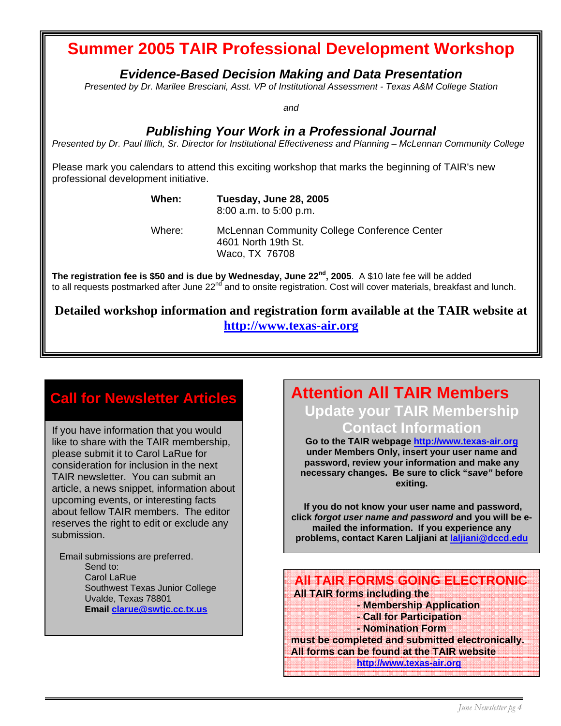### **Summer 2005 TAIR Professional Development Workshop**

*Evidence-Based Decision Making and Data Presentation* 

*Presented by Dr. Marilee Bresciani, Asst. VP of Institutional Assessment - Texas A&M College Station* 

*and* 

### *Publishing Your Work in a Professional Journal*

*Presented by Dr. Paul Illich, Sr. Director for Institutional Effectiveness and Planning – McLennan Community College* 

Please mark you calendars to attend this exciting workshop that marks the beginning of TAIR's new professional development initiative.

**When: Tuesday, June 28, 2005** 

8:00 a.m. to 5:00 p.m.

 Where: McLennan Community College Conference Center 4601 North 19th St. Waco, TX 76708

**The registration fee is \$50 and is due by Wednesday, June 22nd, 2005**. A \$10 late fee will be added to all requests postmarked after June 22<sup>nd</sup> and to onsite registration. Cost will cover materials, breakfast and lunch.

**Detailed workshop information and registration form available at the TAIR website at http://www.texas-air.org**

### **Call for Newsletter Articles**

If you have information that you would like to share with the TAIR membership, please submit it to Carol LaRue for consideration for inclusion in the next TAIR newsletter. You can submit an article, a news snippet, information about upcoming events, or interesting facts about fellow TAIR members. The editor reserves the right to edit or exclude any submission.

 Email submissions are preferred. Send to: Carol LaRue Southwest Texas Junior College Uvalde, Texas 78801  **Email clarue@swtjc.cc.tx.us** 

### **Attention All TAIR Members**

**Update your TAIR Membership Contact Information** 

**Go to the TAIR webpage http://www.texas-air.org under Members Only, insert your user name and password, review your information and make any necessary changes. Be sure to click "***save"* **before exiting.** 

 **If you do not know your user name and password, click** *forgot user name and password* **and you will be emailed the information. If you experience any problems, contact Karen Laljiani at laljiani@dccd.edu** 

 **All TAIR FORMS GOING ELECTRONIC All TAIR forms including the - Membership Application - Call for Participation - Nomination Form** 

**must be completed and submitted electronically. All forms can be found at the TAIR website http://www.texas-air.org**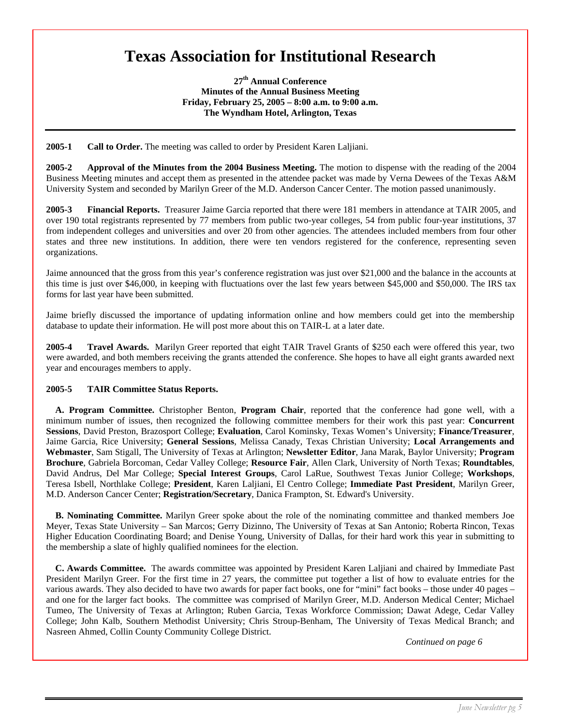### **Texas Association for Institutional Research**

**27th Annual Conference Minutes of the Annual Business Meeting Friday, February 25, 2005 – 8:00 a.m. to 9:00 a.m. The Wyndham Hotel, Arlington, Texas**

**2005-1 Call to Order.** The meeting was called to order by President Karen Laljiani.

**2005-2 Approval of the Minutes from the 2004 Business Meeting.** The motion to dispense with the reading of the 2004 Business Meeting minutes and accept them as presented in the attendee packet was made by Verna Dewees of the Texas A&M University System and seconded by Marilyn Greer of the M.D. Anderson Cancer Center. The motion passed unanimously.

**2005-3 Financial Reports.** Treasurer Jaime Garcia reported that there were 181 members in attendance at TAIR 2005, and over 190 total registrants represented by 77 members from public two-year colleges, 54 from public four-year institutions, 37 from independent colleges and universities and over 20 from other agencies. The attendees included members from four other states and three new institutions. In addition, there were ten vendors registered for the conference, representing seven organizations.

Jaime announced that the gross from this year's conference registration was just over \$21,000 and the balance in the accounts at this time is just over \$46,000, in keeping with fluctuations over the last few years between \$45,000 and \$50,000. The IRS tax forms for last year have been submitted.

Jaime briefly discussed the importance of updating information online and how members could get into the membership database to update their information. He will post more about this on TAIR-L at a later date.

**2005-4 Travel Awards.** Marilyn Greer reported that eight TAIR Travel Grants of \$250 each were offered this year, two were awarded, and both members receiving the grants attended the conference. She hopes to have all eight grants awarded next year and encourages members to apply.

#### **2005-5 TAIR Committee Status Reports.**

 **A. Program Committee.** Christopher Benton, **Program Chair**, reported that the conference had gone well, with a minimum number of issues, then recognized the following committee members for their work this past year: **Concurrent Sessions**, David Preston, Brazosport College; **Evaluation**, Carol Kominsky, Texas Women's University; **Finance/Treasurer**, Jaime Garcia, Rice University; **General Sessions**, Melissa Canady, Texas Christian University; **Local Arrangements and Webmaster**, Sam Stigall, The University of Texas at Arlington; **Newsletter Editor**, Jana Marak, Baylor University; **Program Brochure**, Gabriela Borcoman, Cedar Valley College; **Resource Fair**, Allen Clark, University of North Texas; **Roundtables**, David Andrus, Del Mar College; **Special Interest Groups**, Carol LaRue, Southwest Texas Junior College; **Workshops**, Teresa Isbell, Northlake College; **President**, Karen Laljiani, El Centro College; **Immediate Past President**, Marilyn Greer, M.D. Anderson Cancer Center; **Registration/Secretary**, Danica Frampton, St. Edward's University.

 **B. Nominating Committee.** Marilyn Greer spoke about the role of the nominating committee and thanked members Joe Meyer, Texas State University – San Marcos; Gerry Dizinno, The University of Texas at San Antonio; Roberta Rincon, Texas Higher Education Coordinating Board; and Denise Young, University of Dallas, for their hard work this year in submitting to the membership a slate of highly qualified nominees for the election.

 **C. Awards Committee.** The awards committee was appointed by President Karen Laljiani and chaired by Immediate Past President Marilyn Greer. For the first time in 27 years, the committee put together a list of how to evaluate entries for the various awards. They also decided to have two awards for paper fact books, one for "mini" fact books – those under 40 pages – and one for the larger fact books. The committee was comprised of Marilyn Greer, M.D. Anderson Medical Center; Michael Tumeo, The University of Texas at Arlington; Ruben Garcia, Texas Workforce Commission; Dawat Adege, Cedar Valley College; John Kalb, Southern Methodist University; Chris Stroup-Benham, The University of Texas Medical Branch; and Nasreen Ahmed, Collin County Community College District.

*Continued on page 6*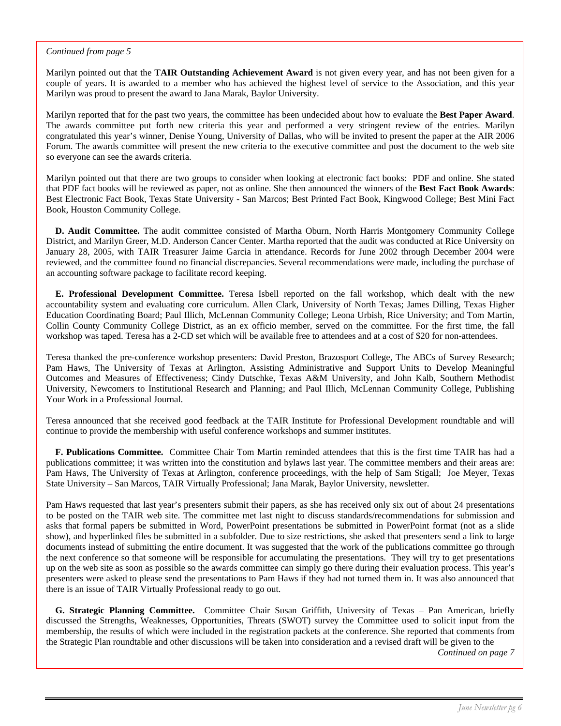#### *Continued from page 5*

Marilyn pointed out that the **TAIR Outstanding Achievement Award** is not given every year, and has not been given for a couple of years. It is awarded to a member who has achieved the highest level of service to the Association, and this year Marilyn was proud to present the award to Jana Marak, Baylor University.

Marilyn reported that for the past two years, the committee has been undecided about how to evaluate the **Best Paper Award**. The awards committee put forth new criteria this year and performed a very stringent review of the entries. Marilyn congratulated this year's winner, Denise Young, University of Dallas, who will be invited to present the paper at the AIR 2006 Forum. The awards committee will present the new criteria to the executive committee and post the document to the web site so everyone can see the awards criteria.

Marilyn pointed out that there are two groups to consider when looking at electronic fact books: PDF and online. She stated that PDF fact books will be reviewed as paper, not as online. She then announced the winners of the **Best Fact Book Awards**: Best Electronic Fact Book, Texas State University - San Marcos; Best Printed Fact Book, Kingwood College; Best Mini Fact Book, Houston Community College.

 **D. Audit Committee.** The audit committee consisted of Martha Oburn, North Harris Montgomery Community College District, and Marilyn Greer, M.D. Anderson Cancer Center. Martha reported that the audit was conducted at Rice University on January 28, 2005, with TAIR Treasurer Jaime Garcia in attendance. Records for June 2002 through December 2004 were reviewed, and the committee found no financial discrepancies. Several recommendations were made, including the purchase of an accounting software package to facilitate record keeping.

 **E. Professional Development Committee.** Teresa Isbell reported on the fall workshop, which dealt with the new accountability system and evaluating core curriculum. Allen Clark, University of North Texas; James Dilling, Texas Higher Education Coordinating Board; Paul Illich, McLennan Community College; Leona Urbish, Rice University; and Tom Martin, Collin County Community College District, as an ex officio member, served on the committee. For the first time, the fall workshop was taped. Teresa has a 2-CD set which will be available free to attendees and at a cost of \$20 for non-attendees.

Teresa thanked the pre-conference workshop presenters: David Preston, Brazosport College, The ABCs of Survey Research; Pam Haws, The University of Texas at Arlington, Assisting Administrative and Support Units to Develop Meaningful Outcomes and Measures of Effectiveness; Cindy Dutschke, Texas A&M University, and John Kalb, Southern Methodist University, Newcomers to Institutional Research and Planning; and Paul Illich, McLennan Community College, Publishing Your Work in a Professional Journal.

Teresa announced that she received good feedback at the TAIR Institute for Professional Development roundtable and will continue to provide the membership with useful conference workshops and summer institutes.

 **F. Publications Committee.** Committee Chair Tom Martin reminded attendees that this is the first time TAIR has had a publications committee; it was written into the constitution and bylaws last year. The committee members and their areas are: Pam Haws, The University of Texas at Arlington, conference proceedings, with the help of Sam Stigall; Joe Meyer, Texas State University – San Marcos, TAIR Virtually Professional; Jana Marak, Baylor University, newsletter.

Pam Haws requested that last year's presenters submit their papers, as she has received only six out of about 24 presentations to be posted on the TAIR web site. The committee met last night to discuss standards/recommendations for submission and asks that formal papers be submitted in Word, PowerPoint presentations be submitted in PowerPoint format (not as a slide show), and hyperlinked files be submitted in a subfolder. Due to size restrictions, she asked that presenters send a link to large documents instead of submitting the entire document. It was suggested that the work of the publications committee go through the next conference so that someone will be responsible for accumulating the presentations. They will try to get presentations up on the web site as soon as possible so the awards committee can simply go there during their evaluation process. This year's presenters were asked to please send the presentations to Pam Haws if they had not turned them in. It was also announced that there is an issue of TAIR Virtually Professional ready to go out.

 **G. Strategic Planning Committee.** Committee Chair Susan Griffith, University of Texas – Pan American, briefly discussed the Strengths, Weaknesses, Opportunities, Threats (SWOT) survey the Committee used to solicit input from the membership, the results of which were included in the registration packets at the conference. She reported that comments from the Strategic Plan roundtable and other discussions will be taken into consideration and a revised draft will be given to the

 *Continued on page 7*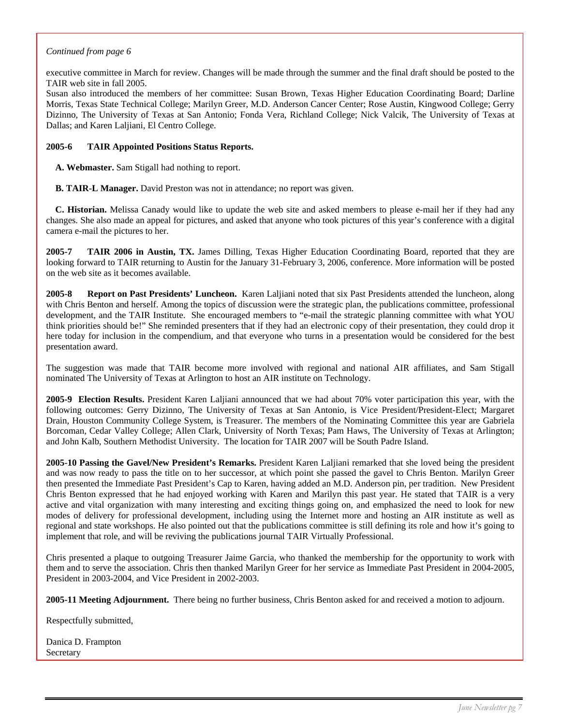#### *Continued from page 6*

executive committee in March for review. Changes will be made through the summer and the final draft should be posted to the TAIR web site in fall 2005.

Susan also introduced the members of her committee: Susan Brown, Texas Higher Education Coordinating Board; Darline Morris, Texas State Technical College; Marilyn Greer, M.D. Anderson Cancer Center; Rose Austin, Kingwood College; Gerry Dizinno, The University of Texas at San Antonio; Fonda Vera, Richland College; Nick Valcik, The University of Texas at Dallas; and Karen Laljiani, El Centro College.

#### **2005-6 TAIR Appointed Positions Status Reports.**

**A. Webmaster.** Sam Stigall had nothing to report.

**B. TAIR-L Manager.** David Preston was not in attendance; no report was given.

 **C. Historian.** Melissa Canady would like to update the web site and asked members to please e-mail her if they had any changes. She also made an appeal for pictures, and asked that anyone who took pictures of this year's conference with a digital camera e-mail the pictures to her.

**2005-7 TAIR 2006 in Austin, TX.** James Dilling, Texas Higher Education Coordinating Board, reported that they are looking forward to TAIR returning to Austin for the January 31-February 3, 2006, conference. More information will be posted on the web site as it becomes available.

**2005-8 Report on Past Presidents' Luncheon.** Karen Laljiani noted that six Past Presidents attended the luncheon, along with Chris Benton and herself. Among the topics of discussion were the strategic plan, the publications committee, professional development, and the TAIR Institute. She encouraged members to "e-mail the strategic planning committee with what YOU think priorities should be!" She reminded presenters that if they had an electronic copy of their presentation, they could drop it here today for inclusion in the compendium, and that everyone who turns in a presentation would be considered for the best presentation award.

The suggestion was made that TAIR become more involved with regional and national AIR affiliates, and Sam Stigall nominated The University of Texas at Arlington to host an AIR institute on Technology.

**2005-9 Election Results.** President Karen Laljiani announced that we had about 70% voter participation this year, with the following outcomes: Gerry Dizinno, The University of Texas at San Antonio, is Vice President/President-Elect; Margaret Drain, Houston Community College System, is Treasurer. The members of the Nominating Committee this year are Gabriela Borcoman, Cedar Valley College; Allen Clark, University of North Texas; Pam Haws, The University of Texas at Arlington; and John Kalb, Southern Methodist University. The location for TAIR 2007 will be South Padre Island.

**2005-10 Passing the Gavel/New President's Remarks.** President Karen Laljiani remarked that she loved being the president and was now ready to pass the title on to her successor, at which point she passed the gavel to Chris Benton. Marilyn Greer then presented the Immediate Past President's Cap to Karen, having added an M.D. Anderson pin, per tradition. New President Chris Benton expressed that he had enjoyed working with Karen and Marilyn this past year. He stated that TAIR is a very active and vital organization with many interesting and exciting things going on, and emphasized the need to look for new modes of delivery for professional development, including using the Internet more and hosting an AIR institute as well as regional and state workshops. He also pointed out that the publications committee is still defining its role and how it's going to implement that role, and will be reviving the publications journal TAIR Virtually Professional.

Chris presented a plaque to outgoing Treasurer Jaime Garcia, who thanked the membership for the opportunity to work with them and to serve the association. Chris then thanked Marilyn Greer for her service as Immediate Past President in 2004-2005, President in 2003-2004, and Vice President in 2002-2003.

**2005-11 Meeting Adjournment.** There being no further business, Chris Benton asked for and received a motion to adjourn.

Respectfully submitted,

Danica D. Frampton **Secretary**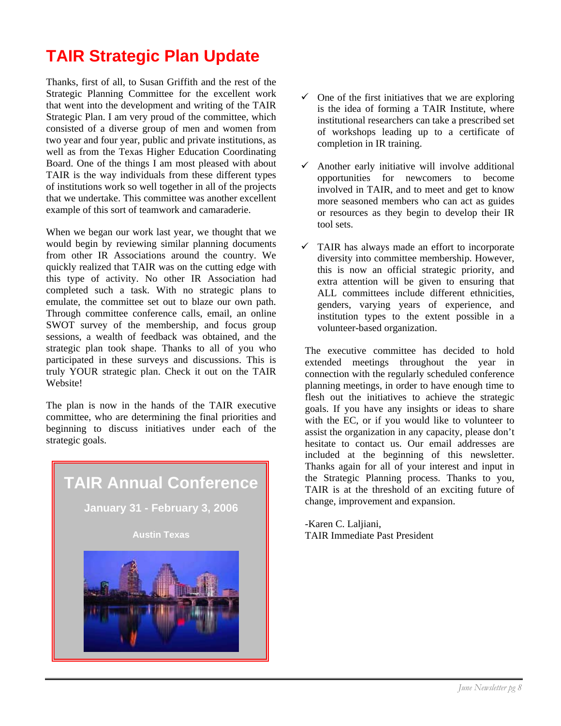### **TAIR Strategic Plan Update**

Thanks, first of all, to Susan Griffith and the rest of the Strategic Planning Committee for the excellent work that went into the development and writing of the TAIR Strategic Plan. I am very proud of the committee, which consisted of a diverse group of men and women from two year and four year, public and private institutions, as well as from the Texas Higher Education Coordinating Board. One of the things I am most pleased with about TAIR is the way individuals from these different types of institutions work so well together in all of the projects that we undertake. This committee was another excellent example of this sort of teamwork and camaraderie.

When we began our work last year, we thought that we would begin by reviewing similar planning documents from other IR Associations around the country. We quickly realized that TAIR was on the cutting edge with this type of activity. No other IR Association had completed such a task. With no strategic plans to emulate, the committee set out to blaze our own path. Through committee conference calls, email, an online SWOT survey of the membership, and focus group sessions, a wealth of feedback was obtained, and the strategic plan took shape. Thanks to all of you who participated in these surveys and discussions. This is truly YOUR strategic plan. Check it out on the TAIR Website!

The plan is now in the hands of the TAIR executive committee, who are determining the final priorities and beginning to discuss initiatives under each of the strategic goals.



- $\checkmark$  One of the first initiatives that we are exploring is the idea of forming a TAIR Institute, where institutional researchers can take a prescribed set of workshops leading up to a certificate of completion in IR training.
- 9 Another early initiative will involve additional opportunities for newcomers to become involved in TAIR, and to meet and get to know more seasoned members who can act as guides or resources as they begin to develop their IR tool sets.
- $\checkmark$  TAIR has always made an effort to incorporate diversity into committee membership. However, this is now an official strategic priority, and extra attention will be given to ensuring that ALL committees include different ethnicities, genders, varying years of experience, and institution types to the extent possible in a volunteer-based organization.

The executive committee has decided to hold extended meetings throughout the year in connection with the regularly scheduled conference planning meetings, in order to have enough time to flesh out the initiatives to achieve the strategic goals. If you have any insights or ideas to share with the EC, or if you would like to volunteer to assist the organization in any capacity, please don't hesitate to contact us. Our email addresses are included at the beginning of this newsletter. Thanks again for all of your interest and input in the Strategic Planning process. Thanks to you, TAIR is at the threshold of an exciting future of change, improvement and expansion.

-Karen C. Laljiani, TAIR Immediate Past President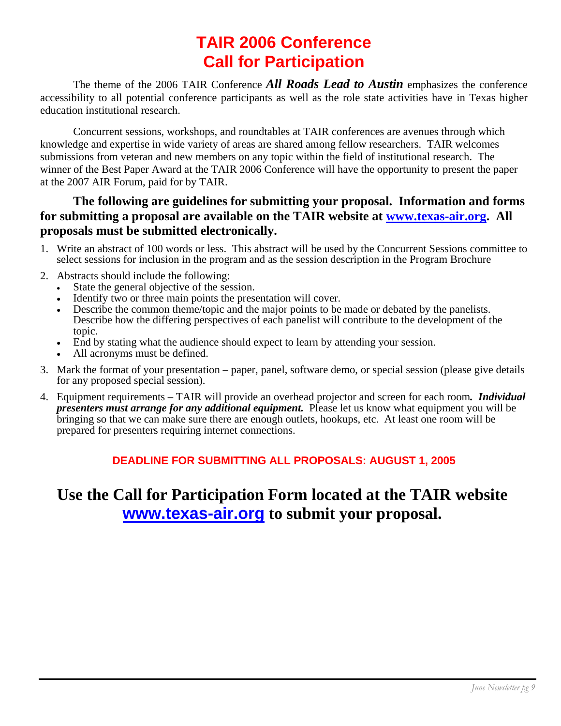### **TAIR 2006 Conference Call for Participation**

The theme of the 2006 TAIR Conference *All Roads Lead to Austin* emphasizes the conference accessibility to all potential conference participants as well as the role state activities have in Texas higher education institutional research.

 Concurrent sessions, workshops, and roundtables at TAIR conferences are avenues through which knowledge and expertise in wide variety of areas are shared among fellow researchers. TAIR welcomes submissions from veteran and new members on any topic within the field of institutional research. The winner of the Best Paper Award at the TAIR 2006 Conference will have the opportunity to present the paper at the 2007 AIR Forum, paid for by TAIR.

### **The following are guidelines for submitting your proposal. Information and forms for submitting a proposal are available on the TAIR website at www.texas-air.org. All proposals must be submitted electronically.**

- 1. Write an abstract of 100 words or less. This abstract will be used by the Concurrent Sessions committee to select sessions for inclusion in the program and as the session description in the Program Brochure
- 2. Abstracts should include the following:
	- State the general objective of the session.
	- Identify two or three main points the presentation will cover.
	- Describe the common theme/topic and the major points to be made or debated by the panelists. Describe how the differing perspectives of each panelist will contribute to the development of the topic.
	- End by stating what the audience should expect to learn by attending your session.
	- All acronyms must be defined.
- 3. Mark the format of your presentation paper, panel, software demo, or special session (please give details for any proposed special session).
- 4. Equipment requirements TAIR will provide an overhead projector and screen for each room*. Individual presenters must arrange for any additional equipment.* Please let us know what equipment you will be bringing so that we can make sure there are enough outlets, hookups, etc. At least one room will be prepared for presenters requiring internet connections.

### **DEADLINE FOR SUBMITTING ALL PROPOSALS: AUGUST 1, 2005**

### **Use the Call for Participation Form located at the TAIR website www.texas-air.org to submit your proposal.**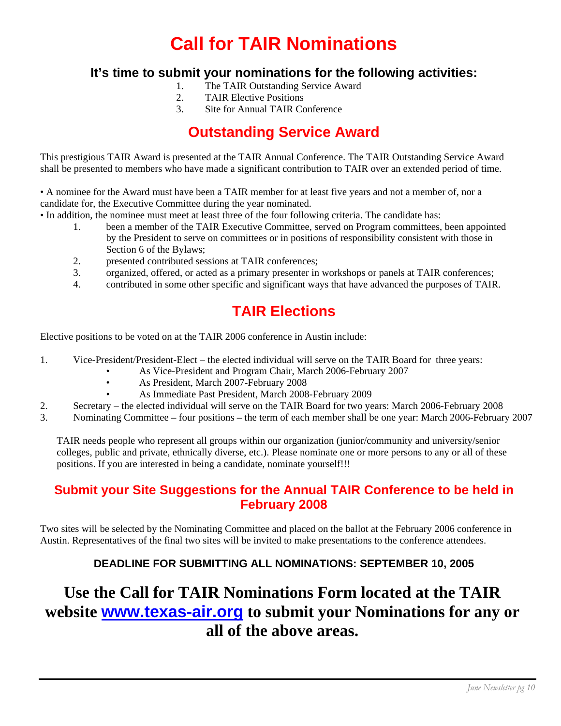### **Call for TAIR Nominations**

### **It's time to submit your nominations for the following activities:**

- 1. The TAIR Outstanding Service Award
- 2. TAIR Elective Positions
- 3. Site for Annual TAIR Conference

### **Outstanding Service Award**

This prestigious TAIR Award is presented at the TAIR Annual Conference. The TAIR Outstanding Service Award shall be presented to members who have made a significant contribution to TAIR over an extended period of time.

• A nominee for the Award must have been a TAIR member for at least five years and not a member of, nor a candidate for, the Executive Committee during the year nominated.

- In addition, the nominee must meet at least three of the four following criteria. The candidate has:
	- 1. been a member of the TAIR Executive Committee, served on Program committees, been appointed by the President to serve on committees or in positions of responsibility consistent with those in Section 6 of the Bylaws;
	- 2. presented contributed sessions at TAIR conferences;
	- 3. organized, offered, or acted as a primary presenter in workshops or panels at TAIR conferences;
	- 4. contributed in some other specific and significant ways that have advanced the purposes of TAIR.

### **TAIR Elections**

Elective positions to be voted on at the TAIR 2006 conference in Austin include:

- 1. Vice-President/President-Elect the elected individual will serve on the TAIR Board for three years:
	- As Vice-President and Program Chair, March 2006-February 2007
	- As President, March 2007-February 2008
	- As Immediate Past President, March 2008-February 2009
- 2. Secretary the elected individual will serve on the TAIR Board for two years: March 2006-February 2008
- 3. Nominating Committee four positions the term of each member shall be one year: March 2006-February 2007

TAIR needs people who represent all groups within our organization (junior/community and university/senior colleges, public and private, ethnically diverse, etc.). Please nominate one or more persons to any or all of these positions. If you are interested in being a candidate, nominate yourself!!!

### **Submit your Site Suggestions for the Annual TAIR Conference to be held in February 2008**

Two sites will be selected by the Nominating Committee and placed on the ballot at the February 2006 conference in Austin. Representatives of the final two sites will be invited to make presentations to the conference attendees.

### **DEADLINE FOR SUBMITTING ALL NOMINATIONS: SEPTEMBER 10, 2005**

### **Use the Call for TAIR Nominations Form located at the TAIR website www.texas-air.org to submit your Nominations for any or all of the above areas.**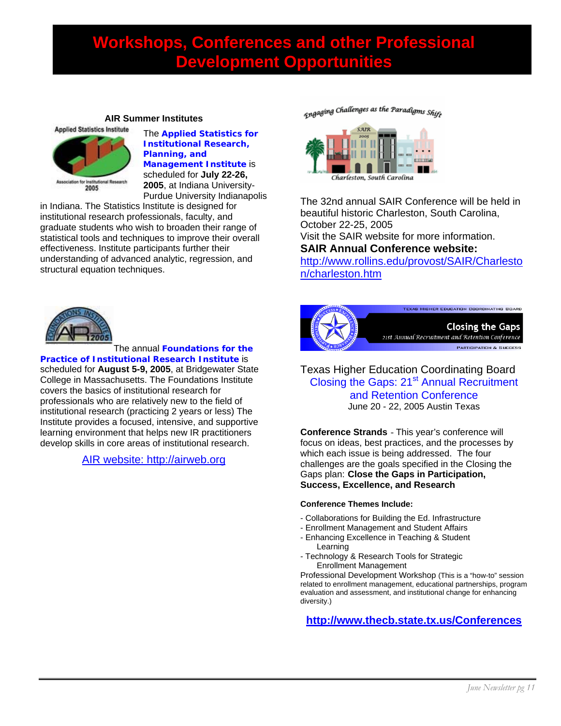### **Workshops, Conferences and other Professional Development Opportunities**

#### **AIR Summer Institutes**



The **Applied Statistics for Institutional Research, Planning, and Management Institute** is scheduled for **July 22-26, 2005**, at Indiana University-Purdue University Indianapolis

in Indiana. The Statistics Institute is designed for institutional research professionals, faculty, and graduate students who wish to broaden their range of statistical tools and techniques to improve their overall effectiveness. Institute participants further their understanding of advanced analytic, regression, and structural equation techniques.



The annual **Foundations for the** 

**Practice of Institutional Research Institute** is scheduled for **August 5-9, 2005**, at Bridgewater State College in Massachusetts. The Foundations Institute covers the basics of institutional research for professionals who are relatively new to the field of institutional research (practicing 2 years or less) The Institute provides a focused, intensive, and supportive learning environment that helps new IR practitioners develop skills in core areas of institutional research.

AIR website: http://airweb.org

<sub>Engaging</sub> Challenges as the Paradigms Shift



The 32nd annual SAIR Conference will be held in beautiful historic Charleston, South Carolina, October 22-25, 2005

Visit the SAIR website for more information. **SAIR Annual Conference website:** 

http://www.rollins.edu/provost/SAIR/Charlesto n/charleston.htm



Texas Higher Education Coordinating Board Closing the Gaps: 21<sup>st</sup> Annual Recruitment and Retention Conference June 20 - 22, 2005 Austin Texas

**Conference Strands** - This year's conference will focus on ideas, best practices, and the processes by which each issue is being addressed. The four challenges are the goals specified in the Closing the Gaps plan: **Close the Gaps in Participation, Success, Excellence, and Research**

#### **Conference Themes Include:**

- Collaborations for Building the Ed. Infrastructure
- Enrollment Management and Student Affairs
- Enhancing Excellence in Teaching & Student Learning
- Technology & Research Tools for Strategic Enrollment Management

Professional Development Workshop (This is a "how-to" session related to enrollment management, educational partnerships, program evaluation and assessment, and institutional change for enhancing diversity.)

**http://www.thecb.state.tx.us/Conferences**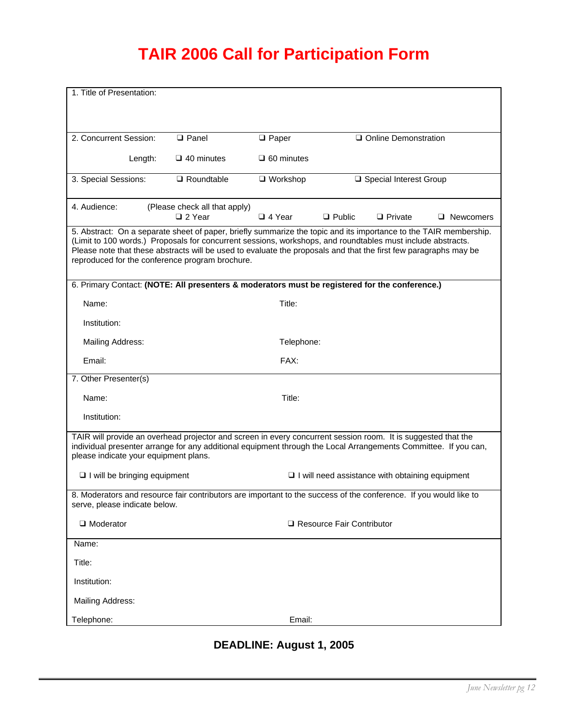### **TAIR 2006 Call for Participation Form**

| 1. Title of Presentation:                                                                                                                                                                                                                                                                                                                                                                               |                                                                                                |                   |                             |                                                        |                  |
|---------------------------------------------------------------------------------------------------------------------------------------------------------------------------------------------------------------------------------------------------------------------------------------------------------------------------------------------------------------------------------------------------------|------------------------------------------------------------------------------------------------|-------------------|-----------------------------|--------------------------------------------------------|------------------|
|                                                                                                                                                                                                                                                                                                                                                                                                         |                                                                                                |                   |                             |                                                        |                  |
|                                                                                                                                                                                                                                                                                                                                                                                                         |                                                                                                |                   |                             |                                                        |                  |
| 2. Concurrent Session:                                                                                                                                                                                                                                                                                                                                                                                  | <b>Q</b> Panel                                                                                 | $\Box$ Paper      |                             | □ Online Demonstration                                 |                  |
| Length:                                                                                                                                                                                                                                                                                                                                                                                                 | $\Box$ 40 minutes                                                                              | $\Box$ 60 minutes |                             |                                                        |                  |
| 3. Special Sessions:                                                                                                                                                                                                                                                                                                                                                                                    | $\Box$ Roundtable                                                                              | $\Box$ Workshop   |                             | □ Special Interest Group                               |                  |
| 4. Audience:                                                                                                                                                                                                                                                                                                                                                                                            | (Please check all that apply)<br>□ 2 Year                                                      | $\Box$ 4 Year     | $\Box$ Public               | $\Box$ Private                                         | $\Box$ Newcomers |
| 5. Abstract: On a separate sheet of paper, briefly summarize the topic and its importance to the TAIR membership.<br>(Limit to 100 words.) Proposals for concurrent sessions, workshops, and roundtables must include abstracts.<br>Please note that these abstracts will be used to evaluate the proposals and that the first few paragraphs may be<br>reproduced for the conference program brochure. |                                                                                                |                   |                             |                                                        |                  |
|                                                                                                                                                                                                                                                                                                                                                                                                         | 6. Primary Contact: (NOTE: All presenters & moderators must be registered for the conference.) |                   |                             |                                                        |                  |
| Name:                                                                                                                                                                                                                                                                                                                                                                                                   |                                                                                                | Title:            |                             |                                                        |                  |
| Institution:                                                                                                                                                                                                                                                                                                                                                                                            |                                                                                                |                   |                             |                                                        |                  |
| Mailing Address:                                                                                                                                                                                                                                                                                                                                                                                        |                                                                                                | Telephone:        |                             |                                                        |                  |
| Email:                                                                                                                                                                                                                                                                                                                                                                                                  |                                                                                                | FAX:              |                             |                                                        |                  |
| 7. Other Presenter(s)                                                                                                                                                                                                                                                                                                                                                                                   |                                                                                                |                   |                             |                                                        |                  |
| Name:                                                                                                                                                                                                                                                                                                                                                                                                   |                                                                                                | Title:            |                             |                                                        |                  |
| Institution:                                                                                                                                                                                                                                                                                                                                                                                            |                                                                                                |                   |                             |                                                        |                  |
| TAIR will provide an overhead projector and screen in every concurrent session room. It is suggested that the<br>individual presenter arrange for any additional equipment through the Local Arrangements Committee. If you can,<br>please indicate your equipment plans.                                                                                                                               |                                                                                                |                   |                             |                                                        |                  |
| $\Box$ I will be bringing equipment                                                                                                                                                                                                                                                                                                                                                                     |                                                                                                |                   |                             | $\Box$ I will need assistance with obtaining equipment |                  |
| 8. Moderators and resource fair contributors are important to the success of the conference. If you would like to<br>serve, please indicate below.                                                                                                                                                                                                                                                      |                                                                                                |                   |                             |                                                        |                  |
| $\Box$ Moderator                                                                                                                                                                                                                                                                                                                                                                                        |                                                                                                |                   | □ Resource Fair Contributor |                                                        |                  |
| Name:                                                                                                                                                                                                                                                                                                                                                                                                   |                                                                                                |                   |                             |                                                        |                  |
| Title:                                                                                                                                                                                                                                                                                                                                                                                                  |                                                                                                |                   |                             |                                                        |                  |
| Institution:                                                                                                                                                                                                                                                                                                                                                                                            |                                                                                                |                   |                             |                                                        |                  |
| Mailing Address:                                                                                                                                                                                                                                                                                                                                                                                        |                                                                                                |                   |                             |                                                        |                  |
| Telephone:                                                                                                                                                                                                                                                                                                                                                                                              |                                                                                                | Email:            |                             |                                                        |                  |

### **DEADLINE: August 1, 2005**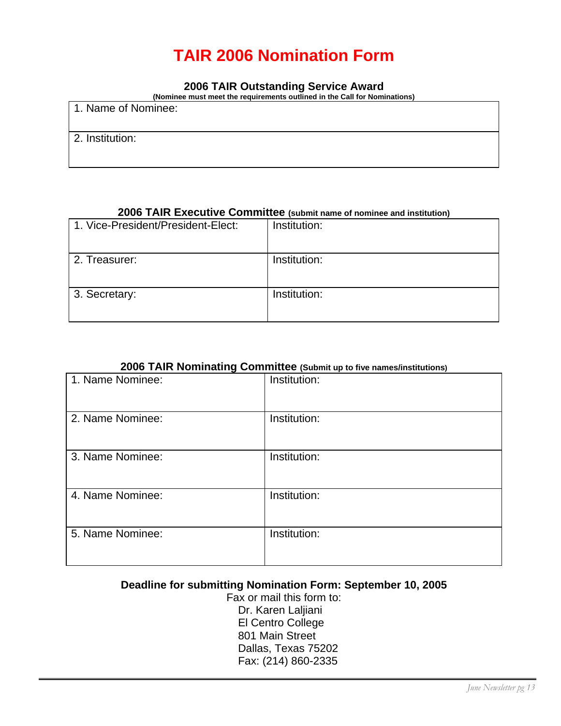### **TAIR 2006 Nomination Form**

#### **2006 TAIR Outstanding Service Award**

**(Nominee must meet the requirements outlined in the Call for Nominations)** 

| 1. Name of Nominee: |  |
|---------------------|--|
| 2. Institution:     |  |

#### **2006 TAIR Executive Committee (submit name of nominee and institution)**

| 1. Vice-President/President-Elect: | Institution: |
|------------------------------------|--------------|
| 2. Treasurer:                      | Institution: |
| 3. Secretary:                      | Institution: |

#### **2006 TAIR Nominating Committee (Submit up to five names/institutions)**

| 1. Name Nominee: | Institution: |
|------------------|--------------|
| 2. Name Nominee: | Institution: |
| 3. Name Nominee: | Institution: |
| 4. Name Nominee: | Institution: |
| 5. Name Nominee: | Institution: |

#### **Deadline for submitting Nomination Form: September 10, 2005**

Fax or mail this form to: Dr. Karen Laljiani El Centro College 801 Main Street Dallas, Texas 75202 Fax: (214) 860-2335